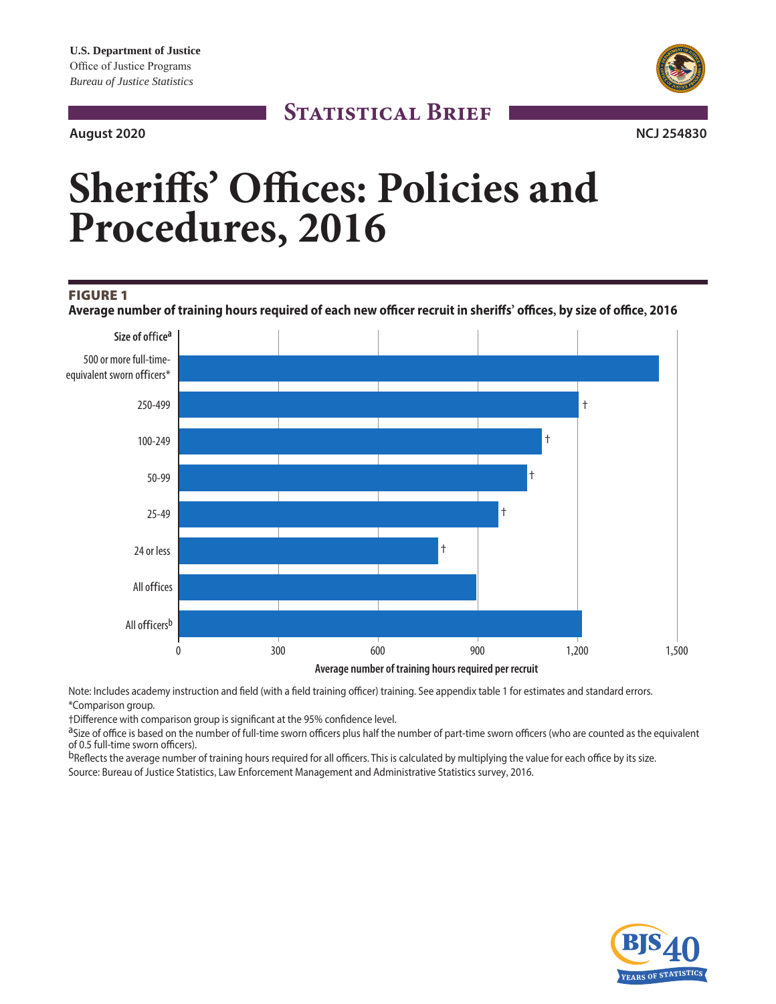# **August 2020 NCJ 254830**



# **STATISTICAL BRIEF**

# **Sheriffs' Offices: Policies and Procedures, 2016**

## FIGURE 1

**Average number of training hours required of each new officer recruit in sheriffs' offices, by size of office, 2016**



Note: Includes academy instruction and field (with a field training officer) training. See appendix table 1 for estimates and standard errors. \*Comparison group.

†Difference with comparison group is significant at the 95% confidence level.

aSize of office is based on the number of full-time sworn officers plus half the number of part-time sworn officers (who are counted as the equivalent of 0.5 full-time sworn officers).

bReflects the average number of training hours required for all officers. This is calculated by multiplying the value for each office by its size. Source: Bureau of Justice Statistics, Law Enforcement Management and Administrative Statistics survey, 2016.

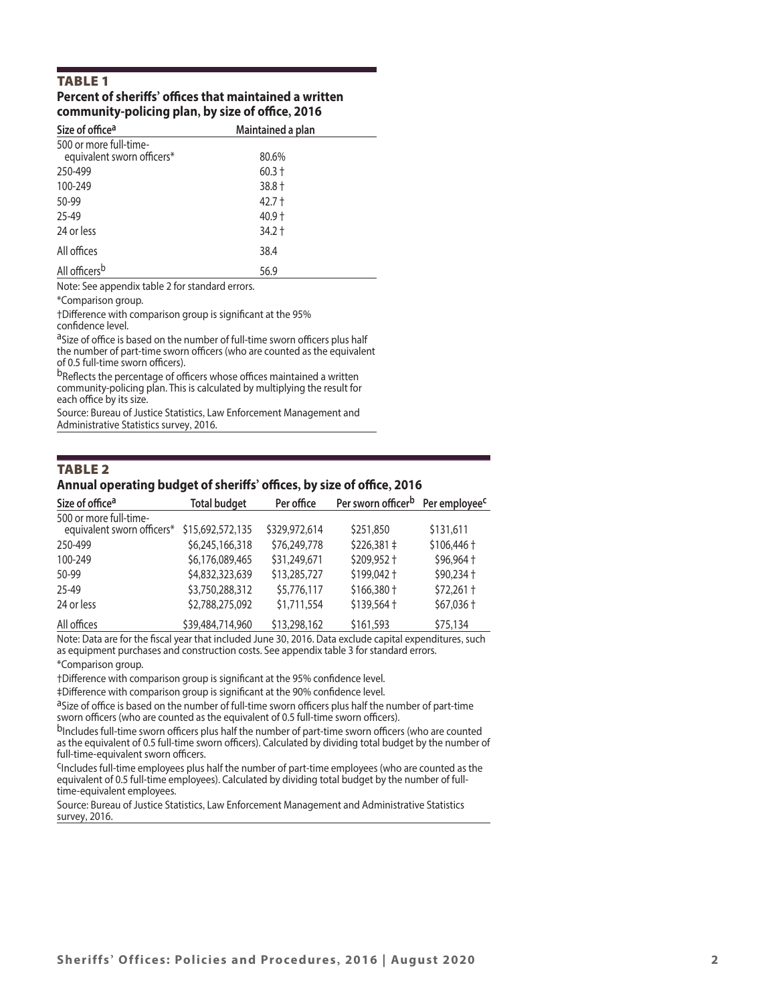# TABLE 1

#### **Percent of sheriffs' offices that maintained a written community-policing plan, by size of office, 2016**

| Size of office <sup>a</sup>                          | Maintained a plan |  |
|------------------------------------------------------|-------------------|--|
| 500 or more full-time-<br>equivalent sworn officers* | 80.6%             |  |
| 250-499                                              | $60.3 +$          |  |
| 100-249                                              | 38.8 +            |  |
| 50-99                                                | $42.7 +$          |  |
| 25-49                                                | $40.9 +$          |  |
| 24 or less                                           | $34.2 +$          |  |
| All offices                                          | 38.4              |  |
| All officers <sup>b</sup>                            | 56.9              |  |

Note: See appendix table 2 for standard errors.

\*Comparison group.

†Difference with comparison group is significant at the 95% confidence level.

aSize of office is based on the number of full-time sworn officers plus half the number of part-time sworn officers (who are counted as the equivalent of 0.5 full-time sworn officers).

bReflects the percentage of officers whose offices maintained a written community-policing plan. This is calculated by multiplying the result for each office by its size.

Source: Bureau of Justice Statistics, Law Enforcement Management and Administrative Statistics survey, 2016.

#### Annual operating budget of sheriffs' offices, by size of office, 2016 TABLE 2

| Size of office <sup>a</sup>                          | <b>Total budget</b> | Per office    | Per sworn officer <sup>b</sup> Per employee <sup>c</sup> |                            |
|------------------------------------------------------|---------------------|---------------|----------------------------------------------------------|----------------------------|
| 500 or more full-time-<br>equivalent sworn officers* | \$15,692,572,135    | \$329,972,614 | \$251,850                                                | \$131,611                  |
| 250-499                                              | \$6,245,166,318     | \$76,249,778  | $$226,381 \div$                                          | $$106,446 \text{ }^+$      |
| 100-249                                              | \$6,176,089,465     | \$31,249,671  | \$209,952 +                                              | $$96,964 +$                |
| 50-99                                                | \$4,832,323,639     | \$13,285,727  | \$199,042 +                                              | $$90,234 \text{ }^{\circ}$ |
| 25-49                                                | \$3,750,288,312     | \$5,776,117   | $$166,380 \text{ }^{\dagger}$                            | $$72,261$ +                |
| 24 or less                                           | \$2,788,275,092     | \$1,711,554   | \$139,564 +                                              | $$67,036 \text{ +}$        |
| All offices                                          | \$39,484,714,960    | \$13,298,162  | \$161,593                                                | \$75,134                   |

Note: Data are for the fiscal year that included June 30, 2016. Data exclude capital expenditures, such as equipment purchases and construction costs. See appendix table 3 for standard errors.

\*Comparison group.

†Difference with comparison group is significant at the 95% confidence level.

‡Difference with comparison group is significant at the 90% confidence level.

aSize of office is based on the number of full-time sworn officers plus half the number of part-time sworn officers (who are counted as the equivalent of 0.5 full-time sworn officers).

bIncludes full-time sworn officers plus half the number of part-time sworn officers (who are counted as the equivalent of 0.5 full-time sworn officers). Calculated by dividing total budget by the number of full-time-equivalent sworn officers.

CIncludes full-time employees plus half the number of part-time employees (who are counted as the equivalent of 0.5 full-time employees). Calculated by dividing total budget by the number of fulltime-equivalent employees.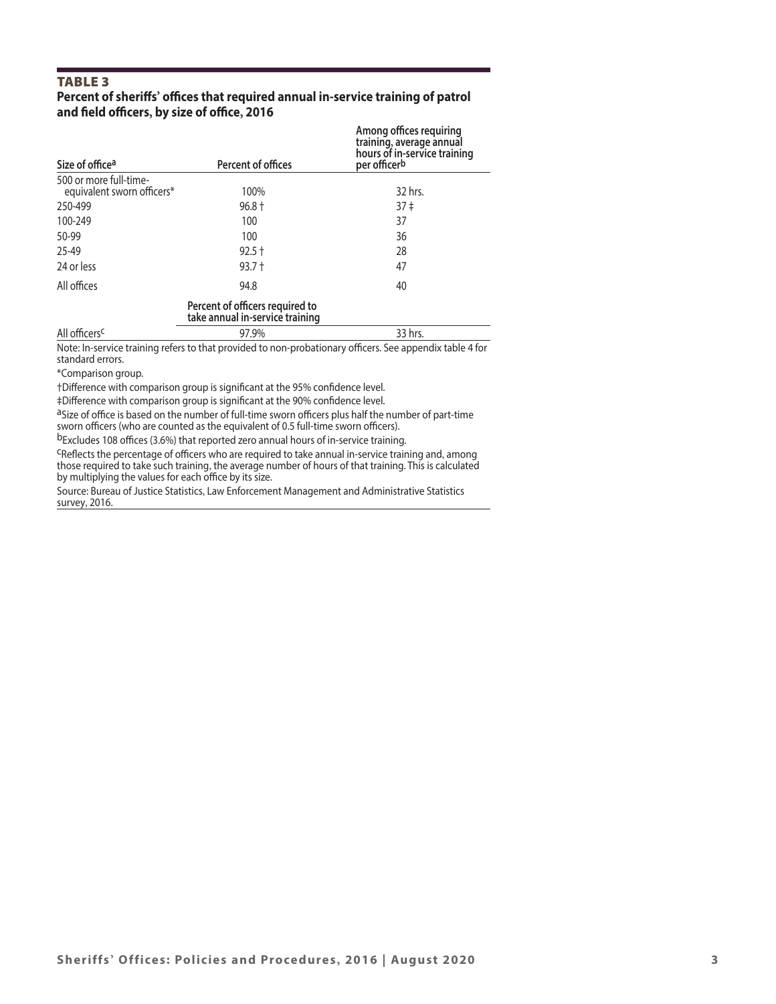# TABLE 3

# **Percent of sheriffs' offices that required annual in-service training of patrol and field officers, by size of office, 2016**

| Size of office <sup>a</sup> | Percent of offices                                                 | Among offices requiring<br>training, average annual<br>hours of in-service training<br>per officer <sup>b</sup> |
|-----------------------------|--------------------------------------------------------------------|-----------------------------------------------------------------------------------------------------------------|
| 500 or more full-time-      |                                                                    |                                                                                                                 |
| equivalent sworn officers*  | 100%                                                               | 32 hrs.                                                                                                         |
| 250-499                     | $96.8 +$                                                           | 37 <sup>‡</sup>                                                                                                 |
| 100-249                     | 100                                                                | 37                                                                                                              |
| 50-99                       | 100                                                                | 36                                                                                                              |
| 25-49                       | $92.5 +$                                                           | 28                                                                                                              |
| 24 or less                  | $93.7 +$                                                           | 47                                                                                                              |
| All offices                 | 94.8                                                               | 40                                                                                                              |
|                             | Percent of officers required to<br>take annual in-service training |                                                                                                                 |
| All officers <sup>c</sup>   | 97.9%                                                              | 33 hrs.                                                                                                         |

Note: In-service training refers to that provided to non-probationary officers. See appendix table 4 for standard errors.

\*Comparison group.

†Difference with comparison group is significant at the 95% confidence level.

‡Difference with comparison group is significant at the 90% confidence level.

aSize of office is based on the number of full-time sworn officers plus half the number of part-time sworn officers (who are counted as the equivalent of 0.5 full-time sworn officers).

bExcludes 108 offices (3.6%) that reported zero annual hours of in-service training.

<sup>C</sup>Reflects the percentage of officers who are required to take annual in-service training and, among those required to take such training, the average number of hours of that training. This is calculated by multiplying the values for each office by its size.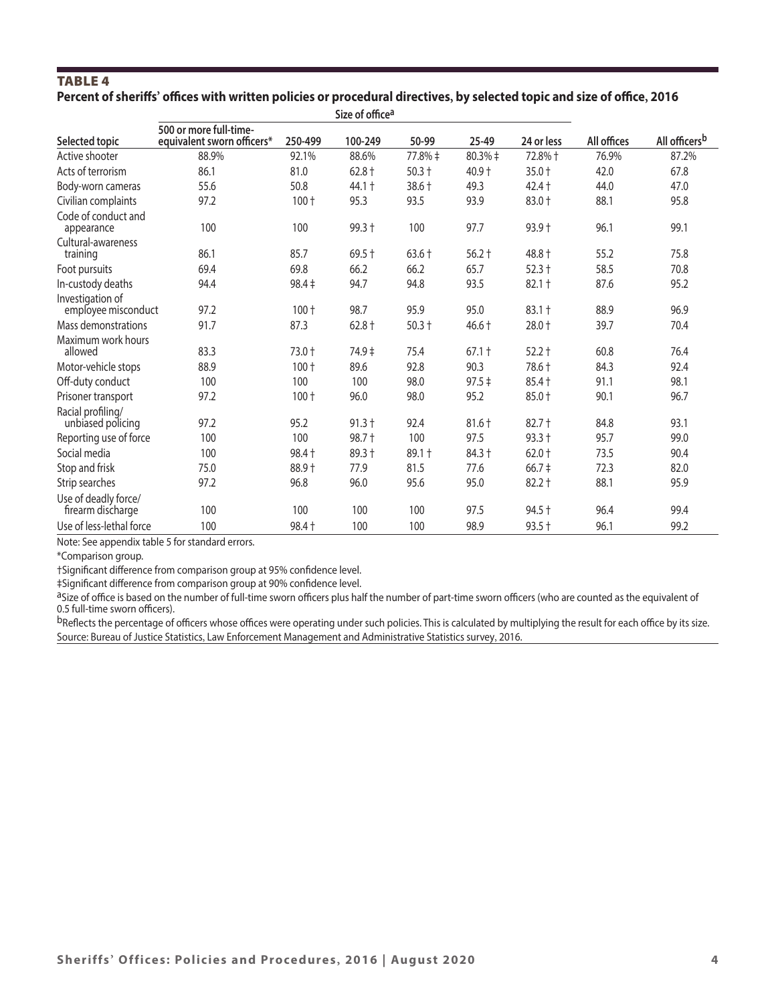# TABLE 4 **Percent of sheriffs' offices with written policies or procedural directives, by selected topic and size of office, 2016**

|                                           |                                                      |            | Size of office <sup>a</sup> |          |             |                         |             |                           |
|-------------------------------------------|------------------------------------------------------|------------|-----------------------------|----------|-------------|-------------------------|-------------|---------------------------|
| Selected topic                            | 500 or more full-time-<br>equivalent sworn officers* | 250-499    | 100-249                     | 50-99    | 25-49       | 24 or less              | All offices | All officers <sup>b</sup> |
| Active shooter                            | 88.9%                                                | 92.1%      | 88.6%                       | 77.8% ‡  | $80.3% \pm$ | 72.8%+                  | 76.9%       | 87.2%                     |
| Acts of terrorism                         | 86.1                                                 | 81.0       | $62.8 +$                    | $50.3 +$ | 40.9 +      | $35.0 +$                | 42.0        | 67.8                      |
| Body-worn cameras                         | 55.6                                                 | 50.8       | 44.1 +                      | $38.6 +$ | 49.3        | $42.4 +$                | 44.0        | 47.0                      |
| Civilian complaints                       | 97.2                                                 | $100 +$    | 95.3                        | 93.5     | 93.9        | 83.0 +                  | 88.1        | 95.8                      |
| Code of conduct and<br>appearance         | 100                                                  | 100        | 99.3 +                      | 100      | 97.7        | $93.9 +$                | 96.1        | 99.1                      |
| Cultural-awareness<br>training            | 86.1                                                 | 85.7       | $69.5 +$                    | $63.6 +$ | $56.2 +$    | 48.8 +                  | 55.2        | 75.8                      |
| Foot pursuits                             | 69.4                                                 | 69.8       | 66.2                        | 66.2     | 65.7        | $52.3 +$                | 58.5        | 70.8                      |
| In-custody deaths                         | 94.4                                                 | $98.4 \pm$ | 94.7                        | 94.8     | 93.5        | $82.1 +$                | 87.6        | 95.2                      |
| Investigation of<br>employee misconduct   | 97.2                                                 | $100 +$    | 98.7                        | 95.9     | 95.0        | $83.1 +$                | 88.9        | 96.9                      |
| Mass demonstrations                       | 91.7                                                 | 87.3       | $62.8 +$                    | $50.3 +$ | $46.6 +$    | $28.0 +$                | 39.7        | 70.4                      |
| Maximum work hours<br>allowed             | 83.3                                                 | 73.0 +     | 74.9 ‡                      | 75.4     | $67.1 +$    | $52.2 +$                | 60.8        | 76.4                      |
| Motor-vehicle stops                       | 88.9                                                 | 100 +      | 89.6                        | 92.8     | 90.3        | 78.6 +                  | 84.3        | 92.4                      |
| Off-duty conduct                          | 100                                                  | 100        | 100                         | 98.0     | $97.5 \div$ | $85.4 +$                | 91.1        | 98.1                      |
| Prisoner transport                        | 97.2                                                 | $100 +$    | 96.0                        | 98.0     | 95.2        | 85.0 +                  | 90.1        | 96.7                      |
| Racial profiling/<br>unbiased policing    | 97.2                                                 | 95.2       | $91.3 +$                    | 92.4     | $81.6 +$    | $82.7 +$                | 84.8        | 93.1                      |
| Reporting use of force                    | 100                                                  | 100        | 98.7 +                      | 100      | 97.5        | $93.3 +$                | 95.7        | 99.0                      |
| Social media                              | 100                                                  | $98.4 +$   | 89.3 +                      | $89.1 +$ | $84.3 +$    | $62.0 +$                | 73.5        | 90.4                      |
| Stop and frisk                            | 75.0                                                 | 88.9+      | 77.9                        | 81.5     | 77.6        | $66.7 \;{\rm \ddagger}$ | 72.3        | 82.0                      |
| Strip searches                            | 97.2                                                 | 96.8       | 96.0                        | 95.6     | 95.0        | $82.2 +$                | 88.1        | 95.9                      |
| Use of deadly force/<br>firearm discharge | 100                                                  | 100        | 100                         | 100      | 97.5        | $94.5 +$                | 96.4        | 99.4                      |
| Use of less-lethal force                  | 100                                                  | 98.4 +     | 100                         | 100      | 98.9        | $93.5 +$                | 96.1        | 99.2                      |
|                                           |                                                      |            |                             |          |             |                         |             |                           |

Note: See appendix table 5 for standard errors.

\*Comparison group.

†Significant difference from comparison group at 95% confidence level.

‡Significant difference from comparison group at 90% confidence level.

aSize of office is based on the number of full-time sworn officers plus half the number of part-time sworn officers (who are counted as the equivalent of 0.5 full-time sworn officers).

bReflects the percentage of officers whose offices were operating under such policies. This is calculated by multiplying the result for each office by its size. Source: Bureau of Justice Statistics, Law Enforcement Management and Administrative Statistics survey, 2016.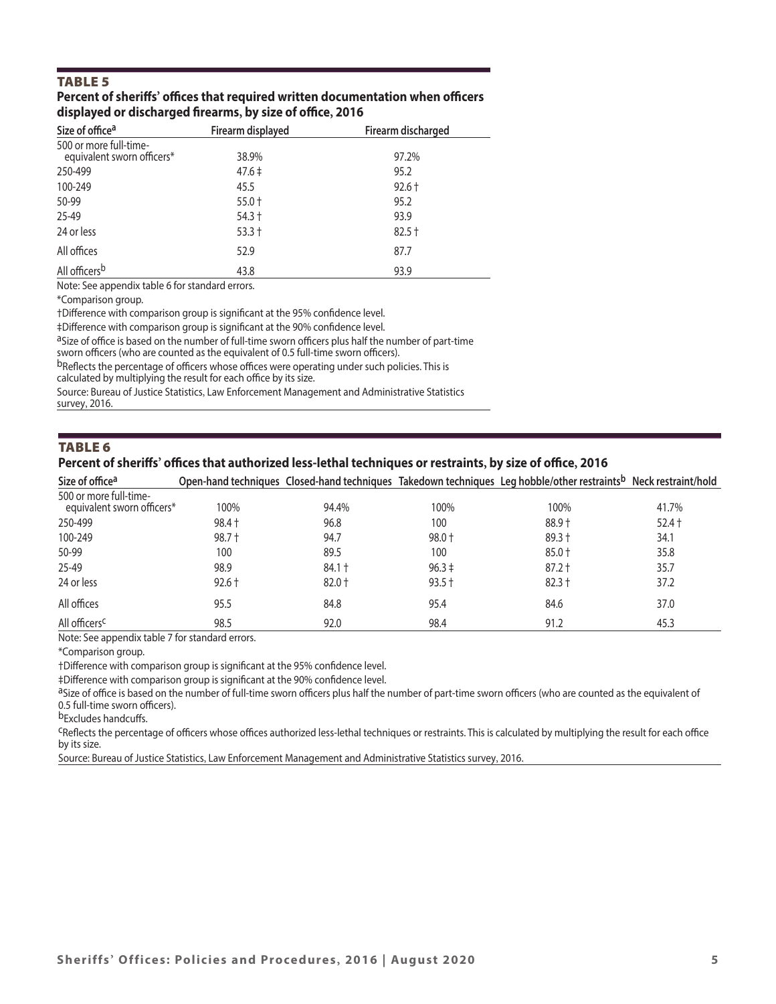# TABLE 5

#### **Percent of sheriffs' offices that required written documentation when officers displayed or discharged firearms, by size of office, 2016**

| Size of office <sup>a</sup>                          | Firearm displayed | Firearm discharged |
|------------------------------------------------------|-------------------|--------------------|
| 500 or more full-time-<br>equivalent sworn officers* | 38.9%             | 97.2%              |
| 250-499                                              | $47.6 \pm$        | 95.2               |
| 100-249                                              | 45.5              | $92.6 +$           |
| 50-99                                                | $55.0 +$          | 95.2               |
| 25-49                                                | $54.3 +$          | 93.9               |
| 24 or less                                           | $53.3 +$          | $82.5 +$           |
| All offices                                          | 52.9              | 87.7               |
| All officers <sup>b</sup>                            | 43.8              | 93.9               |

Note: See appendix table 6 for standard errors.

\*Comparison group.

†Difference with comparison group is significant at the 95% confidence level.

‡Difference with comparison group is significant at the 90% confidence level.

aSize of office is based on the number of full-time sworn officers plus half the number of part-time

sworn officers (who are counted as the equivalent of 0.5 full-time sworn officers).

bReflects the percentage of officers whose offices were operating under such policies. This is

calculated by multiplying the result for each office by its size.

Source: Bureau of Justice Statistics, Law Enforcement Management and Administrative Statistics survey, 2016.

#### TABLE 6

#### **Percent of sheriffs' offices that authorized less-lethal techniques or restraints, by size of office, 2016**

| Size of office <sup>a</sup>                          |          |          |            | Open-hand techniques Closed-hand techniques Takedown techniques Leg hobble/other restraints <sup>b</sup> Neck restraint/hold |          |
|------------------------------------------------------|----------|----------|------------|------------------------------------------------------------------------------------------------------------------------------|----------|
| 500 or more full-time-<br>equivalent sworn officers* | 100%     | 94.4%    | 100%       | 100%                                                                                                                         | 41.7%    |
| 250-499                                              | $98.4 +$ | 96.8     | 100        | $88.9 +$                                                                                                                     | $52.4 +$ |
| 100-249                                              | $98.7 +$ | 94.7     | $98.0 +$   | $89.3 +$                                                                                                                     | 34.1     |
| 50-99                                                | 100      | 89.5     | 100        | $85.0 +$                                                                                                                     | 35.8     |
| 25-49                                                | 98.9     | $84.1 +$ | $96.3 \pm$ | $87.2 +$                                                                                                                     | 35.7     |
| 24 or less                                           | $92.6 +$ | $82.0 +$ | $93.5 +$   | $82.3 +$                                                                                                                     | 37.2     |
| All offices                                          | 95.5     | 84.8     | 95.4       | 84.6                                                                                                                         | 37.0     |
| All officers <sup>c</sup>                            | 98.5     | 92.0     | 98.4       | 91.2                                                                                                                         | 45.3     |

Note: See appendix table 7 for standard errors.

\*Comparison group.

†Difference with comparison group is significant at the 95% confidence level.

‡Difference with comparison group is significant at the 90% confidence level.

aSize of office is based on the number of full-time sworn officers plus half the number of part-time sworn officers (who are counted as the equivalent of 0.5 full-time sworn officers).

bExcludes handcuffs.

<sup>C</sup>Reflects the percentage of officers whose offices authorized less-lethal techniques or restraints. This is calculated by multiplying the result for each office by its size.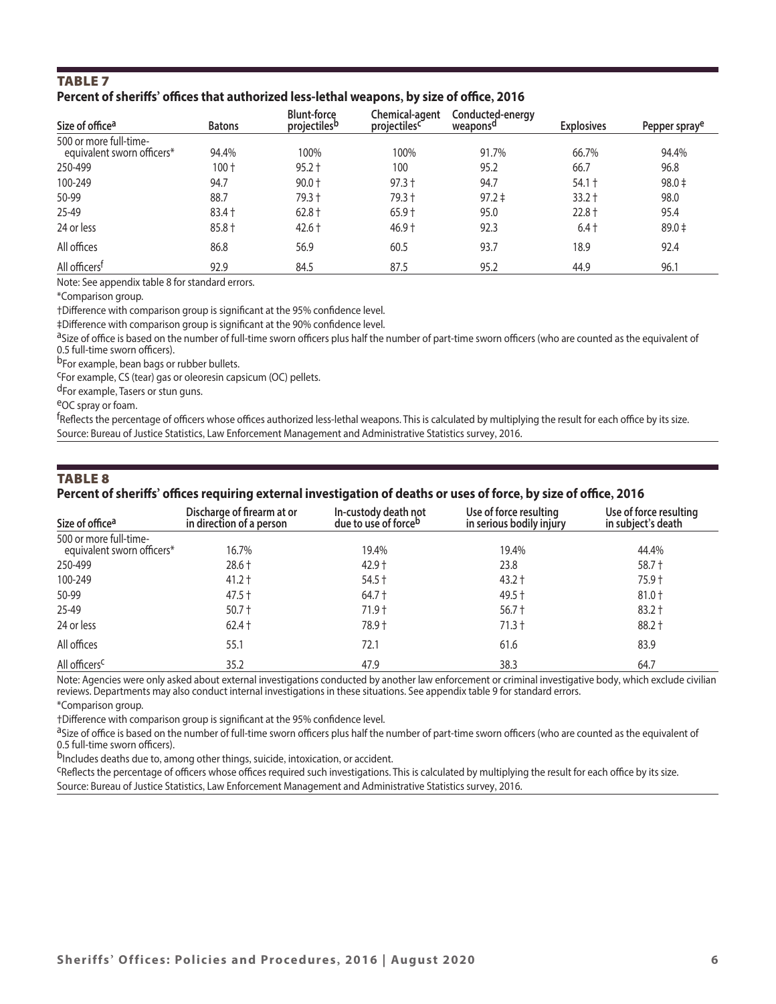# TABLE 7 **Percent of sheriffs' offices that authorized less-lethal weapons, by size of office, 2016**

| Size of office <sup>a</sup>                          | <b>Batons</b> | <b>Blunt-force</b><br>projectiles <sup>b</sup> | Chemical-agent<br>projectiles <sup>c*</sup> | Conducted-energy<br>weapons <sup>a</sup> | <b>Explosives</b> | Pepper spraye |
|------------------------------------------------------|---------------|------------------------------------------------|---------------------------------------------|------------------------------------------|-------------------|---------------|
| 500 or more full-time-<br>equivalent sworn officers* | 94.4%         | 100%                                           | 100%                                        | 91.7%                                    | 66.7%             | 94.4%         |
| 250-499                                              | $100 +$       | $95.2 +$                                       | 100                                         | 95.2                                     | 66.7              | 96.8          |
| 100-249                                              | 94.7          | $90.0 +$                                       | $97.3 +$                                    | 94.7                                     | $54.1 +$          | $98.0 \pm$    |
| 50-99                                                | 88.7          | 79.3 +                                         | $79.3 +$                                    | $97.2 \pm$                               | $33.2 +$          | 98.0          |
| 25-49                                                | $83.4 +$      | $62.8 +$                                       | $65.9 +$                                    | 95.0                                     | $22.8 +$          | 95.4          |
| 24 or less                                           | $85.8 +$      | $42.6 +$                                       | $46.9 +$                                    | 92.3                                     | $6.4+$            | $89.0 \pm$    |
| All offices                                          | 86.8          | 56.9                                           | 60.5                                        | 93.7                                     | 18.9              | 92.4          |
| All officers <sup>t</sup>                            | 92.9          | 84.5                                           | 87.5                                        | 95.2                                     | 44.9              | 96.1          |

Note: See appendix table 8 for standard errors.

\*Comparison group.

†Difference with comparison group is significant at the 95% confidence level.

‡Difference with comparison group is significant at the 90% confidence level.

aSize of office is based on the number of full-time sworn officers plus half the number of part-time sworn officers (who are counted as the equivalent of 0.5 full-time sworn officers).<br><sup>b</sup>For example, bean bags or rubber bullets.

<sup>C</sup>For example, CS (tear) gas or oleoresin capsicum (OC) pellets.

d<sub>For example, Tasers or stun guns.<br>eOC spray or foam.</sub>

<sup>f</sup>Reflects the percentage of officers whose offices authorized less-lethal weapons. This is calculated by multiplying the result for each office by its size. Source: Bureau of Justice Statistics, Law Enforcement Management and Administrative Statistics survey, 2016.

## TABLE 8

#### **Percent of sheriffs' offices requiring external investigation of deaths or uses of force, by size of office, 2016**

| Size of office <sup>a</sup>                          | Discharge of firearm at or<br>in direction of a person | In-custody death not<br>due to use of force <sup>b</sup> | Use of force resulting<br>in serious bodily injury | Use of force resulting<br>in subject's death |
|------------------------------------------------------|--------------------------------------------------------|----------------------------------------------------------|----------------------------------------------------|----------------------------------------------|
| 500 or more full-time-<br>equivalent sworn officers* | 16.7%                                                  | 19.4%                                                    | 19.4%                                              | 44.4%                                        |
| 250-499                                              | $28.6 +$                                               | $42.9 +$                                                 | 23.8                                               | $58.7 +$                                     |
| 100-249                                              | $41.2 +$                                               | $54.5 +$                                                 | $43.2 +$                                           | $75.9 +$                                     |
| 50-99                                                | $47.5 +$                                               | 64.7 †                                                   | $49.5 +$                                           | $81.0 +$                                     |
| 25-49                                                | $50.7 +$                                               | 71.9 t                                                   | $56.7 +$                                           | $83.2 +$                                     |
| 24 or less                                           | $62.4 +$                                               | 78.9 +                                                   | $71.3 +$                                           | $88.2 +$                                     |
| All offices                                          | 55.1                                                   | 72.1                                                     | 61.6                                               | 83.9                                         |
| All officers <sup>c</sup>                            | 35.2                                                   | 47.9                                                     | 38.3                                               | 64.7                                         |

Note: Agencies were only asked about external investigations conducted by another law enforcement or criminal investigative body, which exclude civilian reviews. Departments may also conduct internal investigations in these situations. See appendix table 9 for standard errors. \*Comparison group.

†Difference with comparison group is significant at the 95% confidence level.

<sup>a</sup>Size of office is based on the number of full-time sworn officers plus half the number of part-time sworn officers (who are counted as the equivalent of 0.5 full-time sworn officers).

<sup>b</sup>Includes deaths due to, among other things, suicide, intoxication, or accident.<br><sup>C</sup>Reflects the percentage of officers whose offices required such investigations. This is calculated by multiplying the result for each of Source: Bureau of Justice Statistics, Law Enforcement Management and Administrative Statistics survey, 2016.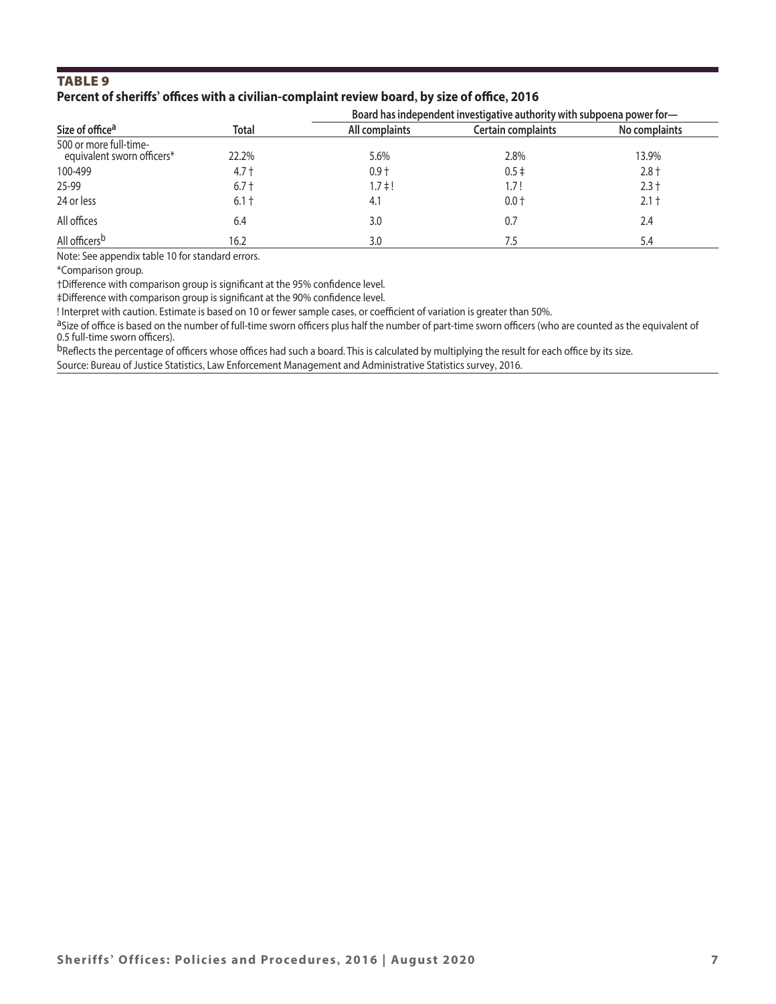# TABLE 9 **Percent of sheriffs' offices with a civilian-complaint review board, by size of office, 2016**

|                                                      |              |                | Board has independent investigative authority with subpoena power for- |               |  |  |  |
|------------------------------------------------------|--------------|----------------|------------------------------------------------------------------------|---------------|--|--|--|
| Size of office <sup>a</sup>                          | <b>Total</b> | All complaints | Certain complaints                                                     | No complaints |  |  |  |
| 500 or more full-time-<br>equivalent sworn officers* | 22.2%        | 5.6%           | 2.8%                                                                   | 13.9%         |  |  |  |
| 100-499                                              | $4.7 +$      | $0.9 +$        | $0.5 \pm$                                                              | $2.8 +$       |  |  |  |
| 25-99                                                | $6.7 +$      | $1.7 \pm 1$    | 1.7!                                                                   | $2.3 +$       |  |  |  |
| 24 or less                                           | $6.1 +$      | 4.1            | $0.0 +$                                                                | $2.1 +$       |  |  |  |
| All offices                                          | 6.4          | 3.0            | 0.7                                                                    | 2.4           |  |  |  |
| All officers <sup>b</sup>                            | 16.2         | 3.0            |                                                                        | 5.4           |  |  |  |

Note: See appendix table 10 for standard errors.

\*Comparison group.

†Difference with comparison group is significant at the 95% confidence level.

‡Difference with comparison group is significant at the 90% confidence level.

! Interpret with caution. Estimate is based on 10 or fewer sample cases, or coefficient of variation is greater than 50%.<br><sup>a</sup>Size of office is based on the number of full-time sworn officers plus half the number of part-ti 0.5 full-time sworn officers).

bReflects the percentage of officers whose offices had such a board. This is calculated by multiplying the result for each office by its size.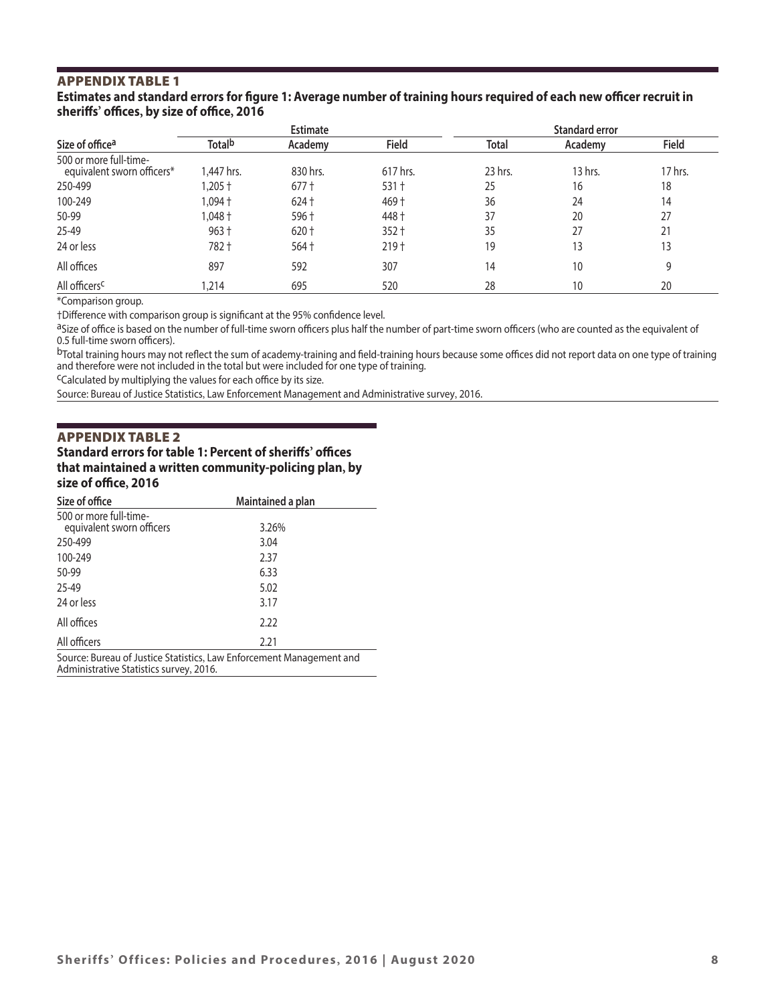# APPENDIX TABLE 1

#### **Estimates and standard errors for figure 1: Average number of training hours required of each new officer recruit in sheriffs' offices, by size of office, 2016**

|                                                      | <b>Estimate</b> |          |                  | <b>Standard error</b> |         |         |
|------------------------------------------------------|-----------------|----------|------------------|-----------------------|---------|---------|
| Size of office <sup>a</sup>                          | <b>Totalb</b>   | Academy  | Field            | <b>Total</b>          | Academy | Field   |
| 500 or more full-time-<br>equivalent sworn officers* | 1,447 hrs.      | 830 hrs. | 617 hrs.         | 23 hrs.               | 13 hrs. | 17 hrs. |
| 250-499                                              | $1.205 +$       | $677 +$  | $531 +$          | 25                    | 16      | 18      |
| 100-249                                              | 1.094 †         | $624 +$  | $469 +$          | 36                    | 24      | 14      |
| 50-99                                                | $1.048 +$       | 596 +    | 448 +            | 37                    | 20      | 27      |
| 25-49                                                | $963 +$         | $620 +$  | $352 +$          | 35                    | 27      | 21      |
| 24 or less                                           | 782+            | $564 +$  | 219 <sup>†</sup> | 19                    | 13      | 13      |
| All offices                                          | 897             | 592      | 307              | 14                    | 10      | 9       |
| All officers <sup>c</sup>                            | 1.214           | 695      | 520              | 28                    | 10      | 20      |

\*Comparison group.

†Difference with comparison group is significant at the 95% confidence level.

aSize of office is based on the number of full-time sworn officers plus half the number of part-time sworn officers (who are counted as the equivalent of 0.5 full-time sworn officers).

bTotal training hours may not reflect the sum of academy-training and field-training hours because some offices did not report data on one type of training and therefore were not included in the total but were included for one type of training.

cCalculated by multiplying the values for each office by its size.

Source: Bureau of Justice Statistics, Law Enforcement Management and Administrative survey, 2016.

#### APPENDIX TABLE 2

**Standard errors for table 1: Percent of sheriffs' offices that maintained a written community-policing plan, by size of office, 2016**

| Size of office                                                                                                  | Maintained a plan |  |  |  |
|-----------------------------------------------------------------------------------------------------------------|-------------------|--|--|--|
| 500 or more full-time-                                                                                          |                   |  |  |  |
| equivalent sworn officers                                                                                       | 3.26%             |  |  |  |
| 250-499                                                                                                         | 3.04              |  |  |  |
| 100-249                                                                                                         | 2.37              |  |  |  |
| 50-99                                                                                                           | 6.33              |  |  |  |
| 25-49                                                                                                           | 5.02              |  |  |  |
| 24 or less                                                                                                      | 3.17              |  |  |  |
| All offices                                                                                                     | 2.22              |  |  |  |
| All officers                                                                                                    | 2.21              |  |  |  |
| Source: Bureau of Justice Statistics, Law Enforcement Management and<br>Administrative Statistics survey, 2016. |                   |  |  |  |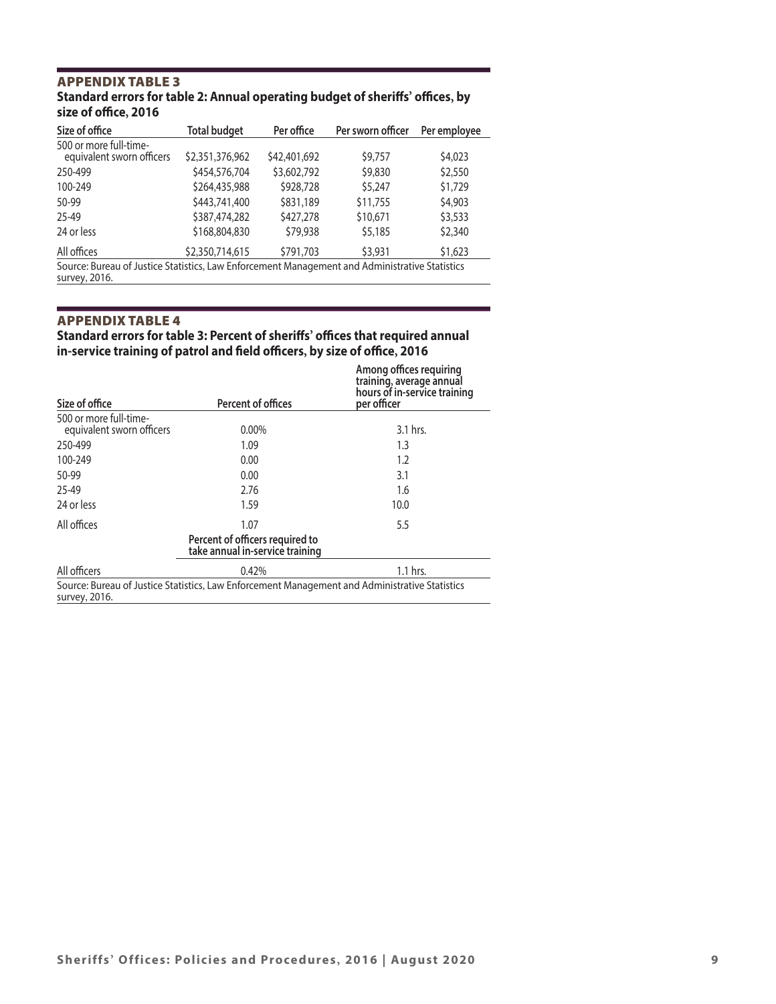### APPENDIX TABLE 3 **Standard errors for table 2: Annual operating budget of sheriffs' offices, by size of office, 2016**

| Size of office                                                                                                  | <b>Total budget</b> | Per office   | Per sworn officer | Per employee |  |  |
|-----------------------------------------------------------------------------------------------------------------|---------------------|--------------|-------------------|--------------|--|--|
| 500 or more full-time-<br>equivalent sworn officers                                                             | \$2,351,376,962     | \$42,401,692 | \$9,757           | \$4,023      |  |  |
| 250-499                                                                                                         | \$454,576,704       | \$3,602,792  | \$9,830           | \$2,550      |  |  |
| 100-249                                                                                                         | \$264,435,988       | \$928,728    | \$5,247           | \$1,729      |  |  |
| 50-99                                                                                                           | \$443,741,400       | \$831,189    | \$11,755          | \$4,903      |  |  |
| 25-49                                                                                                           | \$387,474,282       | \$427,278    | \$10,671          | \$3,533      |  |  |
| 24 or less                                                                                                      | \$168,804,830       | \$79,938     | \$5,185           | \$2,340      |  |  |
| All offices                                                                                                     | \$2,350,714,615     | \$791,703    | \$3,931           | \$1,623      |  |  |
| Source: Bureau of Justice Statistics, Law Enforcement Management and Administrative Statistics<br>survey, 2016. |                     |              |                   |              |  |  |

# APPENDIX TABLE 4

# **Standard errors for table 3: Percent of sheriffs' offices that required annual in-service training of patrol and field officers, by size of office, 2016**

| Size of office                                      | Percent of offices                                                                             | Among offices requiring<br>training, average annual<br>hours of in-service training<br>per officer |
|-----------------------------------------------------|------------------------------------------------------------------------------------------------|----------------------------------------------------------------------------------------------------|
| 500 or more full-time-<br>equivalent sworn officers | $0.00\%$                                                                                       | 3.1 hrs.                                                                                           |
| 250-499                                             | 1.09                                                                                           | 1.3                                                                                                |
| 100-249                                             | 0.00                                                                                           | 1.2                                                                                                |
| 50-99                                               | 0.00                                                                                           | 3.1                                                                                                |
| 25-49                                               | 2.76                                                                                           | 1.6                                                                                                |
| 24 or less                                          | 1.59                                                                                           | 10.0                                                                                               |
| All offices                                         | 1.07                                                                                           | 5.5                                                                                                |
|                                                     | Percent of officers required to<br>take annual in-service training                             |                                                                                                    |
| All officers                                        | 0.42%                                                                                          | 1.1 hrs.                                                                                           |
| survey, 2016.                                       | Source: Bureau of Justice Statistics, Law Enforcement Management and Administrative Statistics |                                                                                                    |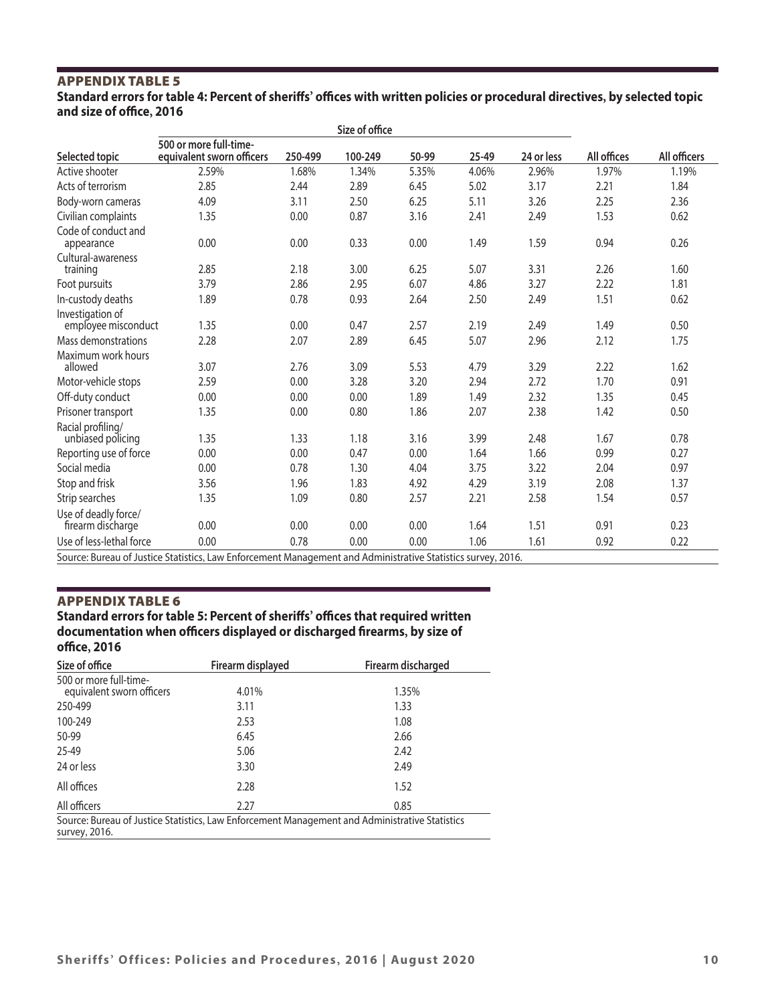# APPENDIX TABLE 5 **Standard errors for table 4: Percent of sheriffs' offices with written policies or procedural directives, by selected topic and size of office, 2016**

|                                           | Size of office                                                                                                                           |         |         |                                                                                                                                                                                                                                |       |            |             |              |
|-------------------------------------------|------------------------------------------------------------------------------------------------------------------------------------------|---------|---------|--------------------------------------------------------------------------------------------------------------------------------------------------------------------------------------------------------------------------------|-------|------------|-------------|--------------|
| Selected topic                            | 500 or more full-time-<br>equivalent sworn officers                                                                                      | 250-499 | 100-249 | 50-99                                                                                                                                                                                                                          | 25-49 | 24 or less | All offices | All officers |
| Active shooter                            | 2.59%                                                                                                                                    | 1.68%   | 1.34%   | 5.35%                                                                                                                                                                                                                          | 4.06% | 2.96%      | 1.97%       | 1.19%        |
| Acts of terrorism                         | 2.85                                                                                                                                     | 2.44    | 2.89    | 6.45                                                                                                                                                                                                                           | 5.02  | 3.17       | 2.21        | 1.84         |
| Body-worn cameras                         | 4.09                                                                                                                                     | 3.11    | 2.50    | 6.25                                                                                                                                                                                                                           | 5.11  | 3.26       | 2.25        | 2.36         |
| Civilian complaints                       | 1.35                                                                                                                                     | 0.00    | 0.87    | 3.16                                                                                                                                                                                                                           | 2.41  | 2.49       | 1.53        | 0.62         |
| Code of conduct and<br>appearance         | 0.00                                                                                                                                     | 0.00    | 0.33    | 0.00                                                                                                                                                                                                                           | 1.49  | 1.59       | 0.94        | 0.26         |
| Cultural-awareness<br>training            | 2.85                                                                                                                                     | 2.18    | 3.00    | 6.25                                                                                                                                                                                                                           | 5.07  | 3.31       | 2.26        | 1.60         |
| Foot pursuits                             | 3.79                                                                                                                                     | 2.86    | 2.95    | 6.07                                                                                                                                                                                                                           | 4.86  | 3.27       | 2.22        | 1.81         |
| In-custody deaths                         | 1.89                                                                                                                                     | 0.78    | 0.93    | 2.64                                                                                                                                                                                                                           | 2.50  | 2.49       | 1.51        | 0.62         |
| Investigation of<br>employee misconduct   | 1.35                                                                                                                                     | 0.00    | 0.47    | 2.57                                                                                                                                                                                                                           | 2.19  | 2.49       | 1.49        | 0.50         |
| Mass demonstrations                       | 2.28                                                                                                                                     | 2.07    | 2.89    | 6.45                                                                                                                                                                                                                           | 5.07  | 2.96       | 2.12        | 1.75         |
| Maximum work hours<br>allowed             | 3.07                                                                                                                                     | 2.76    | 3.09    | 5.53                                                                                                                                                                                                                           | 4.79  | 3.29       | 2.22        | 1.62         |
| Motor-vehicle stops                       | 2.59                                                                                                                                     | 0.00    | 3.28    | 3.20                                                                                                                                                                                                                           | 2.94  | 2.72       | 1.70        | 0.91         |
| Off-duty conduct                          | 0.00                                                                                                                                     | 0.00    | 0.00    | 1.89                                                                                                                                                                                                                           | 1.49  | 2.32       | 1.35        | 0.45         |
| Prisoner transport                        | 1.35                                                                                                                                     | 0.00    | 0.80    | 1.86                                                                                                                                                                                                                           | 2.07  | 2.38       | 1.42        | 0.50         |
| Racial profiling/<br>unbiased policing    | 1.35                                                                                                                                     | 1.33    | 1.18    | 3.16                                                                                                                                                                                                                           | 3.99  | 2.48       | 1.67        | 0.78         |
| Reporting use of force                    | 0.00                                                                                                                                     | 0.00    | 0.47    | 0.00                                                                                                                                                                                                                           | 1.64  | 1.66       | 0.99        | 0.27         |
| Social media                              | 0.00                                                                                                                                     | 0.78    | 1.30    | 4.04                                                                                                                                                                                                                           | 3.75  | 3.22       | 2.04        | 0.97         |
| Stop and frisk                            | 3.56                                                                                                                                     | 1.96    | 1.83    | 4.92                                                                                                                                                                                                                           | 4.29  | 3.19       | 2.08        | 1.37         |
| Strip searches                            | 1.35                                                                                                                                     | 1.09    | 0.80    | 2.57                                                                                                                                                                                                                           | 2.21  | 2.58       | 1.54        | 0.57         |
| Use of deadly force/<br>firearm discharge | 0.00                                                                                                                                     | 0.00    | 0.00    | 0.00                                                                                                                                                                                                                           | 1.64  | 1.51       | 0.91        | 0.23         |
| Use of less-lethal force                  | 0.00                                                                                                                                     | 0.78    | 0.00    | 0.00                                                                                                                                                                                                                           | 1.06  | 1.61       | 0.92        | 0.22         |
|                                           | $\mathcal{L}$ and $\mathcal{L}$ and $\mathcal{L}$ and $\mathcal{L}$ and $\mathcal{L}$ and $\mathcal{L}$ and $\mathcal{L}$<br>$ \epsilon$ |         |         | the first contract of the property of the contract of the contract of the contract of the contract of the contract of the contract of the contract of the contract of the contract of the contract of the contract of the cont |       | 0.0001     |             |              |

Source: Bureau of Justice Statistics, Law Enforcement Management and Administrative Statistics survey, 2016.

#### APPENDIX TABLE 6

# **Standard errors for table 5: Percent of sheriffs' offices that required written documentation when officers displayed or discharged firearms, by size of office, 2016**

| Size of office                                      | Firearm displayed | Firearm discharged                                                                             |
|-----------------------------------------------------|-------------------|------------------------------------------------------------------------------------------------|
| 500 or more full-time-<br>equivalent sworn officers | 4.01%             | 1.35%                                                                                          |
| 250-499                                             | 3.11              | 1.33                                                                                           |
| 100-249                                             | 2.53              | 1.08                                                                                           |
| 50-99                                               | 6.45              | 2.66                                                                                           |
| 25-49                                               | 5.06              | 2.42                                                                                           |
| 24 or less                                          | 3.30              | 2.49                                                                                           |
| All offices                                         | 2.28              | 1.52                                                                                           |
| All officers                                        | 2.27              | 0.85                                                                                           |
| survey, 2016.                                       |                   | Source: Bureau of Justice Statistics, Law Enforcement Management and Administrative Statistics |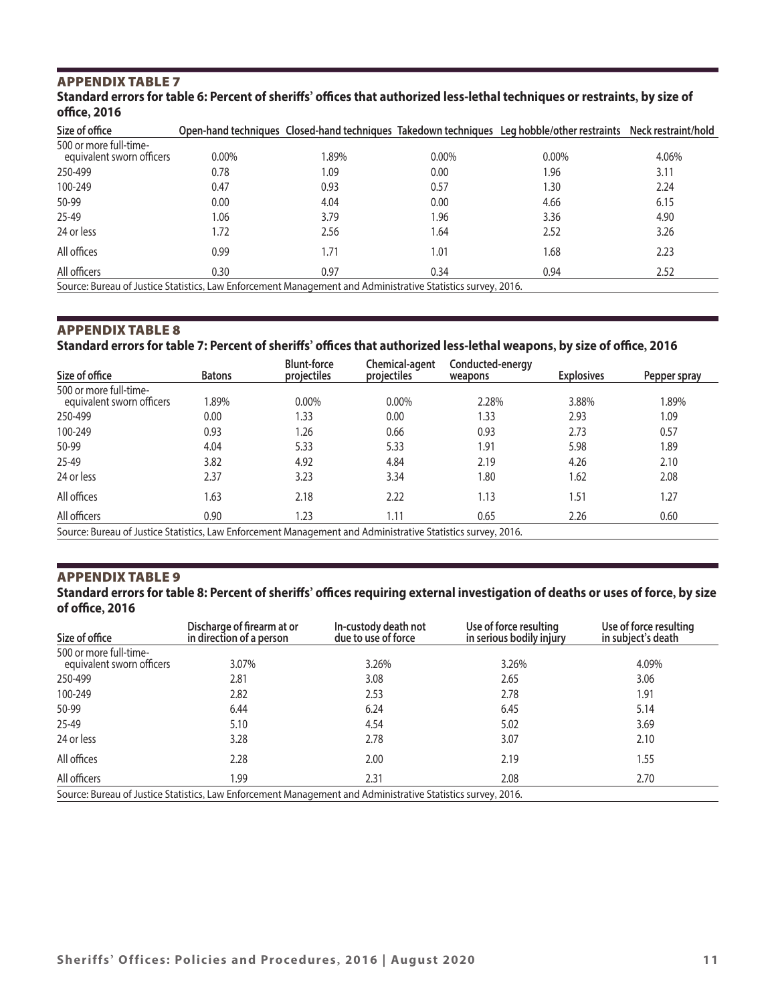# APPENDIX TABLE 7

# **Standard errors for table 6: Percent of sheriffs' offices that authorized less-lethal techniques or restraints, by size of office, 2016**

| Size of office                                                                                               |          |      |          | Open-hand techniques Closed-hand techniques Takedown techniques Leg hobble/other restraints Neck restraint/hold |       |  |
|--------------------------------------------------------------------------------------------------------------|----------|------|----------|-----------------------------------------------------------------------------------------------------------------|-------|--|
| 500 or more full-time-<br>equivalent sworn officers                                                          | $0.00\%$ | .89% | $0.00\%$ | $0.00\%$                                                                                                        | 4.06% |  |
| 250-499                                                                                                      | 0.78     | 1.09 | 0.00     | 1.96                                                                                                            | 3.11  |  |
| 100-249                                                                                                      | 0.47     | 0.93 | 0.57     | 1.30                                                                                                            | 2.24  |  |
| 50-99                                                                                                        | 0.00     | 4.04 | 0.00     | 4.66                                                                                                            | 6.15  |  |
| 25-49                                                                                                        | 1.06     | 3.79 | 96.ا     | 3.36                                                                                                            | 4.90  |  |
| 24 or less                                                                                                   | 1.72     | 2.56 | 1.64     | 2.52                                                                                                            | 3.26  |  |
| All offices                                                                                                  | 0.99     | 1.71 | 1.01     | 1.68                                                                                                            | 2.23  |  |
| All officers                                                                                                 | 0.30     | 0.97 | 0.34     | 0.94                                                                                                            | 2.52  |  |
| Source: Bureau of Justice Statistics, Law Enforcement Management and Administrative Statistics survey, 2016. |          |      |          |                                                                                                                 |       |  |

# APPENDIX TABLE 8

# **Standard errors for table 7: Percent of sheriffs' offices that authorized less-lethal weapons, by size of office, 2016**

| Size of office                                                                                               | <b>Batons</b> | <b>Blunt-force</b><br>projectiles | Chemical-agent<br>projectiles | Conducted-energy<br>weapons | <b>Explosives</b> | Pepper spray |
|--------------------------------------------------------------------------------------------------------------|---------------|-----------------------------------|-------------------------------|-----------------------------|-------------------|--------------|
| 500 or more full-time-<br>equivalent sworn officers                                                          | 1.89%         | 0.00%                             | 0.00%                         | 2.28%                       | 3.88%             | 1.89%        |
| 250-499                                                                                                      | 0.00          | 1.33                              | 0.00                          | 1.33                        | 2.93              | 1.09         |
| 100-249                                                                                                      | 0.93          | 1.26                              | 0.66                          | 0.93                        | 2.73              | 0.57         |
| 50-99                                                                                                        | 4.04          | 5.33                              | 5.33                          | 1.91                        | 5.98              | 1.89         |
| 25-49                                                                                                        | 3.82          | 4.92                              | 4.84                          | 2.19                        | 4.26              | 2.10         |
| 24 or less                                                                                                   | 2.37          | 3.23                              | 3.34                          | 1.80                        | 1.62              | 2.08         |
| All offices                                                                                                  | 1.63          | 2.18                              | 2.22                          | 1.13                        | 1.51              | 1.27         |
| All officers                                                                                                 | 0.90          | 1.23                              | 1.11                          | 0.65                        | 2.26              | 0.60         |
| Source: Bureau of Justice Statistics, Law Enforcement Management and Administrative Statistics survey, 2016. |               |                                   |                               |                             |                   |              |

# APPENDIX TABLE 9

#### **Standard errors for table 8: Percent of sheriffs' offices requiring external investigation of deaths or uses of force, by size of office, 2016**

| Size of office                                                                                               | Discharge of firearm at or<br>in direction of a person | In-custody death not<br>due to use of force | Use of force resulting<br>in serious bodily injury | Use of force resulting<br>in subject's death |  |  |
|--------------------------------------------------------------------------------------------------------------|--------------------------------------------------------|---------------------------------------------|----------------------------------------------------|----------------------------------------------|--|--|
| 500 or more full-time-<br>equivalent sworn officers                                                          | 3.07%                                                  | 3.26%                                       | 3.26%                                              | 4.09%                                        |  |  |
| 250-499                                                                                                      | 2.81                                                   | 3.08                                        | 2.65                                               | 3.06                                         |  |  |
| 100-249                                                                                                      | 2.82                                                   | 2.53                                        | 2.78                                               | 1.91                                         |  |  |
| 50-99                                                                                                        | 6.44                                                   | 6.24                                        | 6.45                                               | 5.14                                         |  |  |
| 25-49                                                                                                        | 5.10                                                   | 4.54                                        | 5.02                                               | 3.69                                         |  |  |
| 24 or less                                                                                                   | 3.28                                                   | 2.78                                        | 3.07                                               | 2.10                                         |  |  |
| All offices                                                                                                  | 2.28                                                   | 2.00                                        | 2.19                                               | 1.55                                         |  |  |
| All officers                                                                                                 | 1.99                                                   | 2.31                                        | 2.08                                               | 2.70                                         |  |  |
| Source: Bureau of Justice Statistics, Law Enforcement Management and Administrative Statistics survey, 2016. |                                                        |                                             |                                                    |                                              |  |  |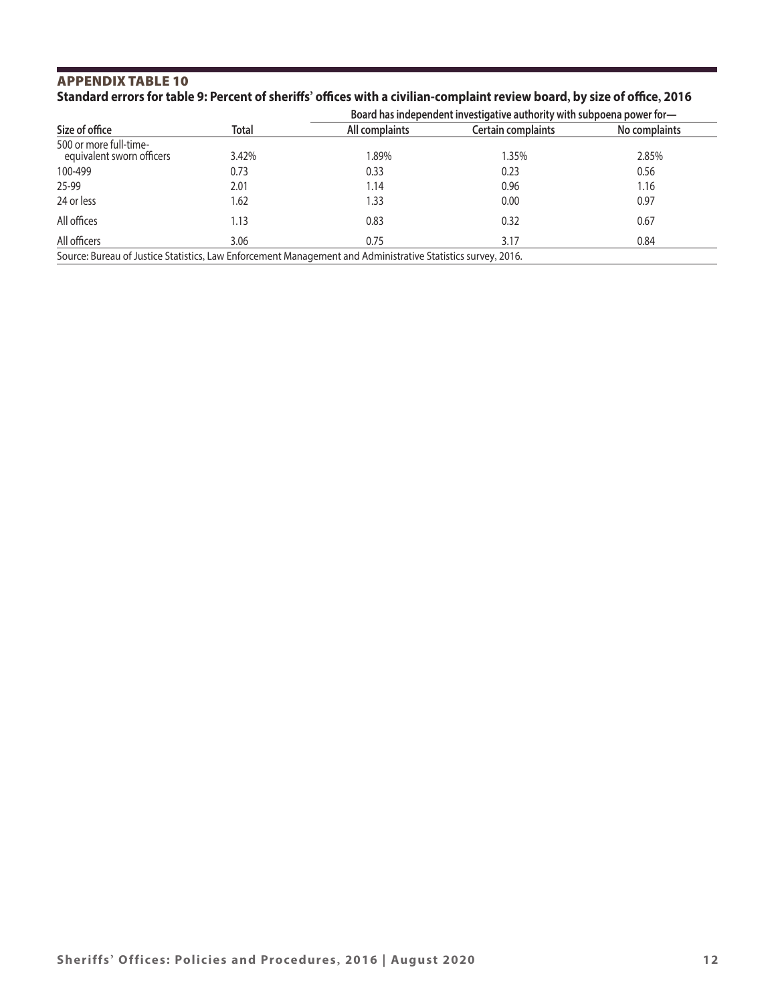# APPENDIX TABLE 10 **Standard errors for table 9: Percent of sheriffs' offices with a civilian-complaint review board, by size of office, 2016**

|                                                                                                              |              |                | Board has independent investigative authority with subpoena power for- |               |  |  |  |
|--------------------------------------------------------------------------------------------------------------|--------------|----------------|------------------------------------------------------------------------|---------------|--|--|--|
| Size of office                                                                                               | <b>Total</b> | All complaints | Certain complaints                                                     | No complaints |  |  |  |
| 500 or more full-time-<br>equivalent sworn officers                                                          | 3.42%        | 1.89%          | l.35%                                                                  | 2.85%         |  |  |  |
| 100-499                                                                                                      | 0.73         | 0.33           | 0.23                                                                   | 0.56          |  |  |  |
| 25-99                                                                                                        | 2.01         | 1.14           | 0.96                                                                   | 1.16          |  |  |  |
| 24 or less                                                                                                   | 1.62         | 1.33           | 0.00                                                                   | 0.97          |  |  |  |
| All offices                                                                                                  | 1.13         | 0.83           | 0.32                                                                   | 0.67          |  |  |  |
| All officers                                                                                                 | 3.06         | 0.75           | 3.17                                                                   | 0.84          |  |  |  |
| Source: Bureau of Justice Statistics, Law Enforcement Management and Administrative Statistics survey, 2016. |              |                |                                                                        |               |  |  |  |

**Sheriffs' Offices: Policies and Procedures, 2016 | August 2020 12**